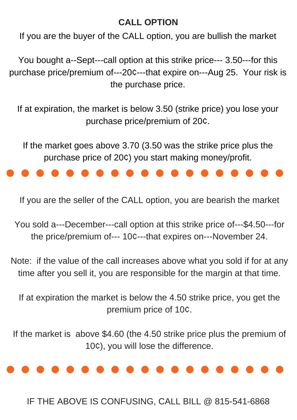# **CALL OPTION**

If you are the buyer of the CALL option, you are bullish the market

You bought a--Sept---call option at this strike price--- 3.50---for this purchase price/premium of---20¢---that expire on---Aug 25. Your risk is the purchase price.

If at expiration, the market is below 3.50 (strike price) you lose your purchase price/premium of 20¢.

If the market goes above 3.70 (3.50 was the strike price plus the purchase price of 20¢) you start making money/profit.

If you are the seller of the CALL option, you are bearish the market

You sold a---December---call option at this strike price of---\$4.50---for the price/premium of--- 10¢---that expires on---November 24.

Note: if the value of the call increases above what you sold if for at any time after you sell it, you are responsible for the margin at that time.

If at expiration the market is below the 4.50 strike price, you get the premium price of 10¢.

If the market is above \$4.60 (the 4.50 strike price plus the premium of 10¢), you will lose the difference.



IF THE ABOVE IS CONFUSING, CALL BILL @ 815-541-6868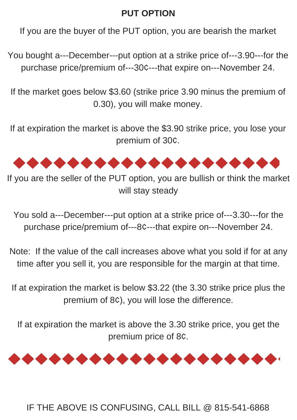# **PUT OPTION**

If you are the buyer of the PUT option, you are bearish the market

You bought a---December---put option at a strike price of---3.90---for the purchase price/premium of---30¢---that expire on---November 24.

If the market goes below \$3.60 (strike price 3.90 minus the premium of 0.30), you will make money.

If at expiration the market is above the \$3.90 strike price, you lose your premium of 30¢.



If you are the seller of the PUT option, you are bullish or think the market will stay steady

You sold a---December---put option at a strike price of---3.30---for the purchase price/premium of---8¢---that expire on---November 24.

Note: If the value of the call increases above what you sold if for at any time after you sell it, you are responsible for the margin at that time.

If at expiration the market is below \$3.22 (the 3.30 strike price plus the premium of 8¢), you will lose the difference.

If at expiration the market is above the 3.30 strike price, you get the premium price of 8¢.



### IF THE ABOVE IS CONFUSING, CALL BILL @ 815-541-6868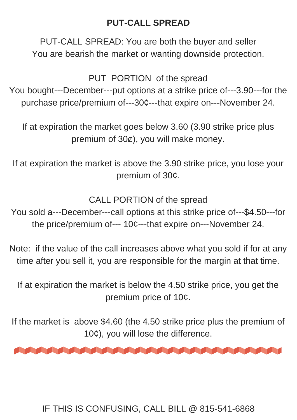## **PUT-CALL SPREAD**

PUT-CALL SPREAD: You are both the buyer and seller You are bearish the market or wanting downside protection.

PUT PORTION of the spread

You bought---December---put options at a strike price of---3.90---for the purchase price/premium of---30¢---that expire on---November 24.

If at expiration the market goes below 3.60 (3.90 strike price plus premium of 30 $\chi$ ), you will make money.

If at expiration the market is above the 3.90 strike price, you lose your premium of 30¢.

CALL PORTION of the spread

You sold a---December---call options at this strike price of---\$4.50---for the price/premium of--- 10¢---that expire on---November 24.

Note: if the value of the call increases above what you sold if for at any time after you sell it, you are responsible for the margin at that time.

If at expiration the market is below the 4.50 strike price, you get the premium price of 10¢.

If the market is above \$4.60 (the 4.50 strike price plus the premium of 10¢), you will lose the difference.



#### IF THIS IS CONFUSING, CALL BILL @ 815-541-6868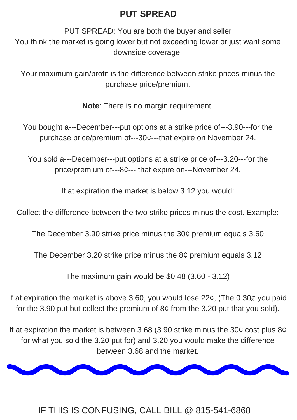## **PUT SPREAD**

PUT SPREAD: You are both the buyer and seller You think the market is going lower but not exceeding lower or just want some downside coverage.

Your maximum gain/profit is the difference between strike prices minus the purchase price/premium.

**Note**: There is no margin requirement.

You bought a---December---put options at a strike price of---3.90---for the purchase price/premium of---30¢---that expire on November 24.

You sold a---December---put options at a strike price of---3.20---for the price/premium of---8¢--- that expire on---November 24.

If at expiration the market is below 3.12 you would:

If at expiration the market is above 3.60, you would lose 22¢, (The 0.30¢ you paid for the 3.90 put but collect the premium of 8¢ from the 3.20 put that you sold).

Collect the difference between the two strike prices minus the cost. Example:

The December 3.90 strike price minus the 30¢ premium equals 3.60

The December 3.20 strike price minus the 8¢ premium equals 3.12

The maximum gain would be \$0.48 (3.60 - 3.12)

If at expiration the market is between 3.68 (3.90 strike minus the 30¢ cost plus 8¢ for what you sold the 3.20 put for) and 3.20 you would make the difference between 3.68 and the market.



#### IF THIS IS CONFUSING, CALL BILL @ 815-541-6868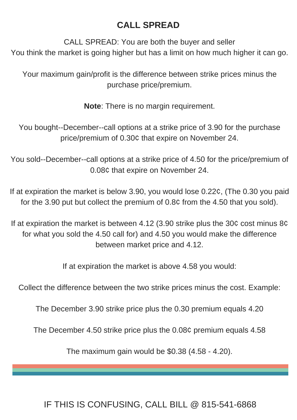## **CALL SPREAD**

CALL SPREAD: You are both the buyer and seller You think the market is going higher but has a limit on how much higher it can go.

Your maximum gain/profit is the difference between strike prices minus the purchase price/premium.

**Note**: There is no margin requirement.

You bought--December--call options at a strike price of 3.90 for the purchase price/premium of 0.30¢ that expire on November 24.

You sold--December--call options at a strike price of 4.50 for the price/premium of 0.08¢ that expire on November 24.

If at expiration the market is below 3.90, you would lose 0.22¢, (The 0.30 you paid for the 3.90 put but collect the premium of 0.8¢ from the 4.50 that you sold).

If at expiration the market is between 4.12 (3.90 strike plus the 30¢ cost minus 8¢ for what you sold the 4.50 call for) and 4.50 you would make the difference between market price and 4.12.

If at expiration the market is above 4.58 you would:

Collect the difference between the two strike prices minus the cost. Example:

The December 3.90 strike price plus the 0.30 premium equals 4.20

The December 4.50 strike price plus the 0.08¢ premium equals 4.58

The maximum gain would be \$0.38 (4.58 - 4.20).

### IF THIS IS CONFUSING, CALL BILL @ 815-541-6868